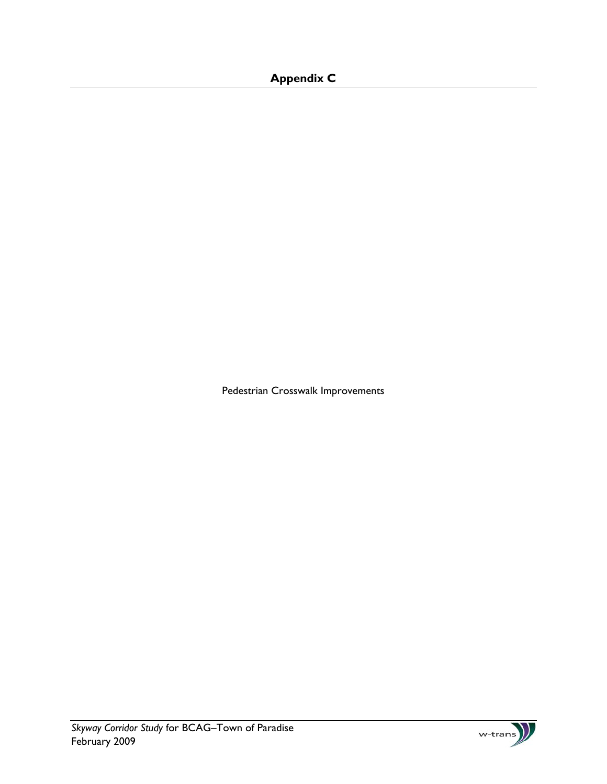## **Appendix C**

Pedestrian Crosswalk Improvements

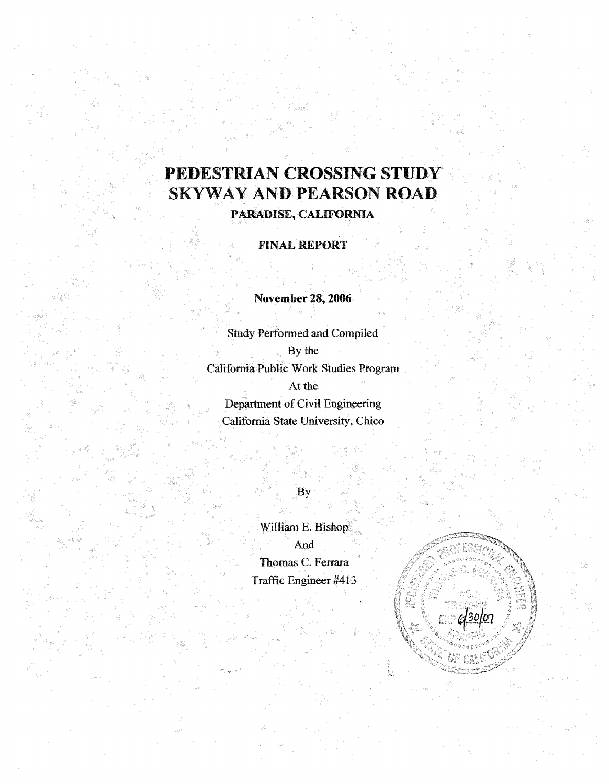## PEDESTRIAN CROSSING STUDY SKYWAY AND PEARSON ROAD

PARADISE, CALIFORNIA

FINAL REPORT

November 28, 2006

Study Performed and Compiled By the California Public Work Studies Program At the Department of Civil Engineering California State University, Chico

By

William E. Bishop And Thomas C. Ferrara Traffic Engineer#413

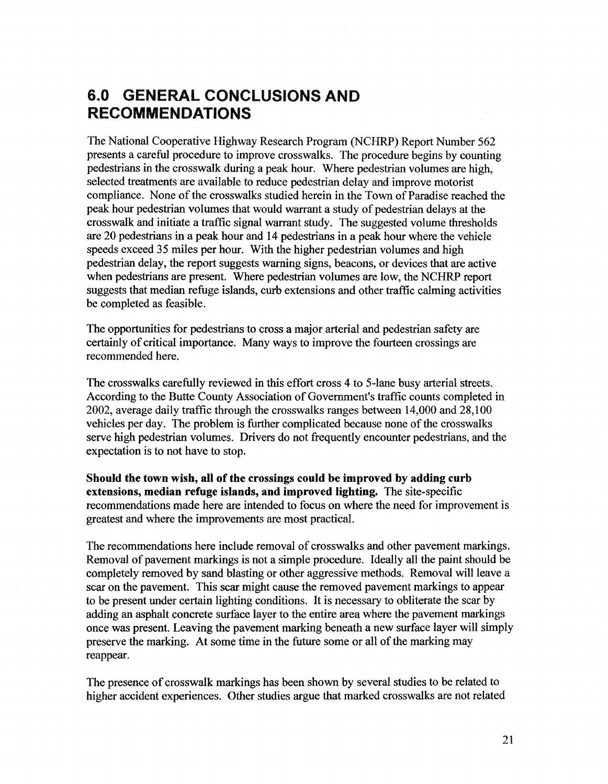## 6.0 GENERAL CONCLUSIONS AND RECOMMENDATIONS

The National Cooperative Highway Research Program (NCHRP) Report Number 562 presents a careful procedure to improve crosswalks. The procedure begins by counting pedestrians in the crosswalk during a peak hour. Where pedestrian volumes are high, selected treatments are available to reduce pedestrian delay and improve motorist compliance. None of the crosswalks studied herein in the Town of Paradise reached the peak hour pedestrian volumes that would warrant a study of pedestrian delays at the crosswalk and initiate a traffic signal warrant study. The suggested volume thresholds are 20 pedestrians in a peak hour and 14 pedestrians in a peak hour where the vehicle speeds exceed 35 miles per hour. With the higher pedestrian volumes and high pedestrian delay, the report suggests warning signs, beacons, or devices that are active when pedestrians are present. Where pedestrian volumes are low, the NCHRP report suggests that median refuge islands, curb extensions and other traffic calming activities be completed as feasible.

The opportunities for pedestrians to cross a major arterial and pedestrian safety are certainly of critical importance. Many ways to improve the fourteen crossings are recommended here.

The crosswalks carefully reviewed in this effort cross 4 to 5-lane busy arterial streets. According to the Butte County Association of Government's traffic counts completed in 2002, average daily traffic through the crosswalks ranges between 14,000 and 28,100 vehicles per day. The problem is further complicated because none of the crosswalks serve high pedestrian volumes. Drivers do not frequently encounter pedestrians, and the expectation is to not have to stop.

Should the town wish, all of the crossings could be improved by adding curb extensions, median refuge islands, and improved lighting. The site-specific recommendations made here are intended to focus on where the need for improvement is greatest and where the improvements are most practical.

The recommendations here include removal of crosswalks and other pavement markings. Removal of pavement markings is not a simple procedure. Ideally all the paint should be completely removed by sand blasting or other aggressive methods. Removal will leave a scar on the pavement. This scar might cause the removed pavement markings to appear to be present under certain lighting conditions. It is necessary to obliterate the scar by adding an asphalt concrete surface layer to the entire area where the pavement markings once was present. Leaving the pavement marking beneath a new surface layer will simply preserve the marking. At some time in the future some or all of the marking may reappear.

The presence of crosswalk markings has been shown by several studies to be related to higher accident experiences. Other studies argue that marked crosswalks are not related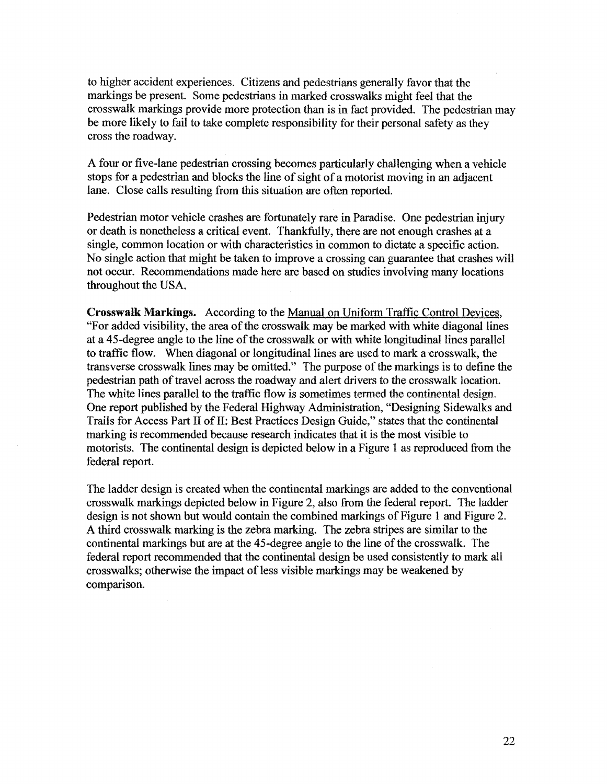to higher accident experiences. Citizens and pedestrians generally favor that the markings be present. Some pedestrians in marked crosswalks might feel that the crosswalk markings provide more protection than is in fact provided. The pedestrian may be more likely to fail to take complete responsibility for their personal safety as they cross the roadway.

A four or five-lane pedestrian crossing becomes particularly challenging when a vehicle stops for a pedestrian and blocks the line of sight of a motorist moving in an adjacent lane. Close calls resulting from this situation are often reported.

Pedestrian motor vehicle crashes are fortunately rare in Paradise. One pedestrian injury or death is nonetheless a critical event. Thankfully, there are not enough crashes at a single, common location or with characteristics in common to dictate a specific action. No single action that might be taken to improve a crossing can guarantee that crashes will not occur. Recommendations made here are based on studies involving many locations throughout the USA.

Crosswalk Markings. According to the Manual on Uniform Traffic Control Devices, "For added visibility, the area of the crosswalk may be marked with white diagonal lines at a 45-degree angle to the line of the crosswalk or with white longitudinal lines parallel to traffic flow. When diagonal or longitudinal lines are used to mark a crosswalk, the transverse crosswalk lines may be omitted." The purpose of the markings is to define the pedestrian path of travel across the roadway and alert drivers to the crosswalk location. The white lines parallel to the traffic flow is sometimes termed the continental design. One report published by the Federal Highway Administration, "Designing Sidewalks and Trails for Access Part II of II: Best Practices Design Guide," states that the continental marking is recommended because research indicates that it is the most visible to motorists. The continental design is depicted below in a Figure 1 as reproduced from the federal report.

The ladder design is created when the continental markings are added to the conventional crosswalk markings depicted below in Figure 2, also from the federal report. The ladder design is not shown but would contain the combined markings of Figure 1 and Figure 2. A third crosswalk marking is the zebra marking. The zebra stripes are similar to the continental markings but are at the 45-degree angle to the line of the crosswalk. The federal report recommended that the continental design be used consistently to mark all crosswalks; otherwise the impact of less visible markings may be weakened by comparison.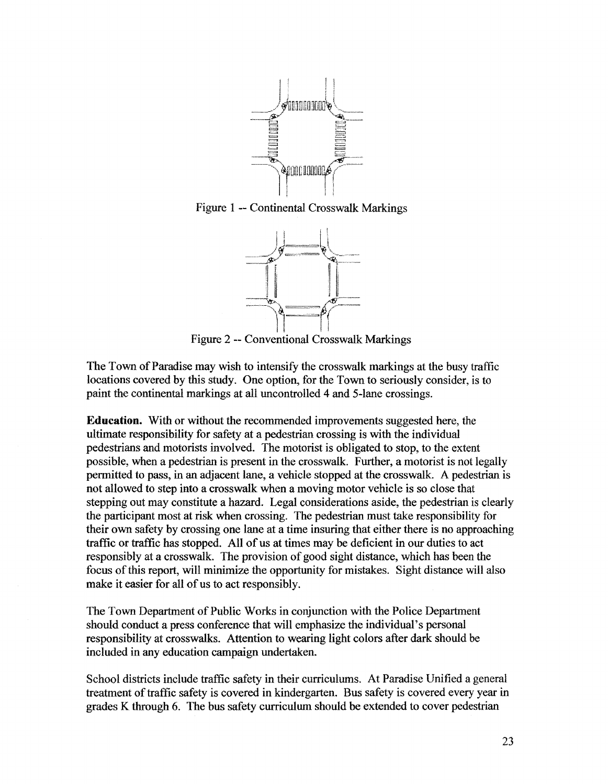

Figure 1 -- Continental Crosswalk Markings



Figure 2 -- Conventional Crosswalk Markings

The Town of Paradise may wish to intensify the crosswalk markings at the busy traffic locations covered by this study. One option, for the Town to seriously consider, is to paint the continental markings at all uncontrolled 4 and 5-lane crossings.

**Education.** With or without the recommended improvements suggested here, the ultimate responsibility for safety at a pedestrian crossing is with the individual pedestrians and motorists involved. The motorist is obligated to stop, to the extent possible, when a pedestrian is present in the crosswalk. Further, a motorist is not legally pennitted to pass, in an adjacent lane, a vehicle stopped at the crosswalk. A pedestrian is not allowed to step into a crosswalk when a moving motor vehicle is so close that stepping out may constitute a hazard. Legal considerations aside, the pedestrian is clearly the participant most at risk when crossing. The pedestrian must take responsibility for their own safety by crossing one lane at a time insuring that either there is no approaching traffic or traffic has stopped. All of us at times may be deficient in our duties to act responsibly at a crosswalk. The provision of good sight distance, which has been the focus of this report, will minimize the opportunity for mistakes. Sight distance will also make it easier for all of us to act responsibly.

The Town Department of Public Works in conjunction with the Police Department should conduct a press conference that will emphasize the individual's personal responsibility at crosswalks. Attention to wearing light colors after dark should be included in any education campaign undertaken.

School districts include traffic safety in their curriculums. At Paradise Unified a general treatment of traffic safety is covered in kindergarten. Bus safety is covered every year in grades K through 6. The bus safety curriculum should be extended to cover pedestrian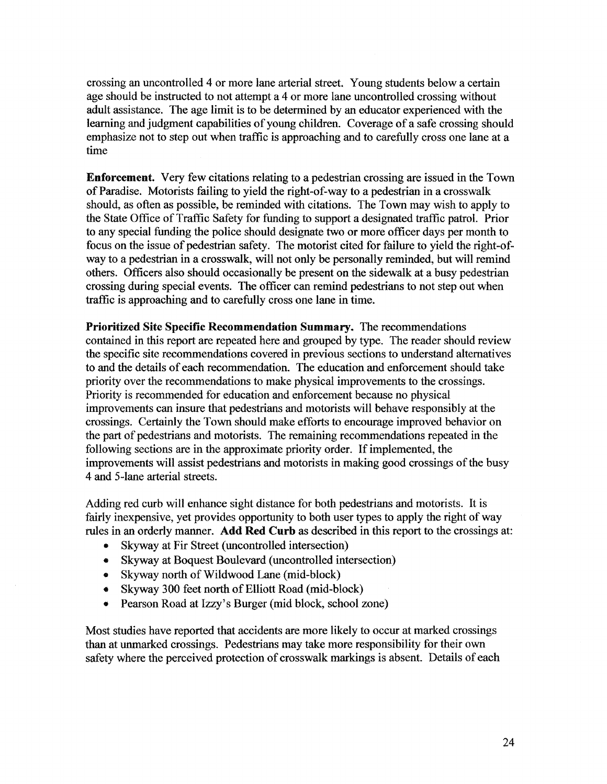crossing an uncontrolled 4 or more lane arterial street. Young students below a certain age should be instructed to not attempt a 4 or more lane uncontrolled crossing without adult assistance. The age limit is to be determined by an educator experienced with the learning and judgment capabilities of young children. Coverage of a safe crossing should emphasize not to step out when traffic is approaching and to carefully cross one lane at a time

Enforcement. Very few citations relating to a pedestrian crossing are issued in the Town of Paradise. Motorists failing to yield the right-of-way to a pedestrian in a crosswalk should, as often as possible, be reminded with citations. The Town may wish to apply to the State Office ofTraffic Safety for funding to support a designated traffic patrol. Prior to any special funding the police should designate two or more officer days per month to focus on the issue of pedestrian safety. The motorist cited for failure to yield the right-ofway to a pedestrian in a crosswalk, will not only be personally reminded, but will remind others. Officers also should occasionally be present on the sidewalk at a busy pedestrian crossing during special events. The officer can remind pedestrians to not step out when traffic is approaching and to carefully cross one lane in time.

Prioritized Site Specific Recommendation Summary. The recommendations contained in this report are repeated here and grouped by type. The reader should review the specific site recommendations covered in previous sections to understand alternatives to and the details of each recommendation. The education and enforcement should take priority over the recommendations to make physical improvements to the crossings. Priority is recommended for education and enforcement because no physical improvements can insure that pedestrians and motorists will behave responsibly at the crossings. Certainly the Town should make efforts to encourage improved behavior on the part of pedestrians and motorists. The remaining recommendations repeated in the following sections are in the approximate priority order. If implemented, the improvements will assist pedestrians and motorists in making good crossings of the busy 4 and 5-lane arterial streets.

Adding red curb will enhance sight distance for both pedestrians and motorists. It is fairly inexpensive, yet provides opportunity to both user types to apply the right of way rules in an orderly manner. Add Red Curb as described in this report to the crossings at:

- Skyway at Fir Street (uncontrolled intersection)
- Skyway at Boquest Boulevard (uncontrolled intersection)
- Skyway north of Wildwood Lane (mid-block)
- Skyway 300 feet north of Elliott Road (mid-block)
- Pearson Road at Izzy's Burger (mid block, school zone)

Most studies have reported that accidents are more likely to occur at marked crossings than at unmarked crossings. Pedestrians may take more responsibility for their own safety where the perceived protection of crosswalk markings is absent. Details of each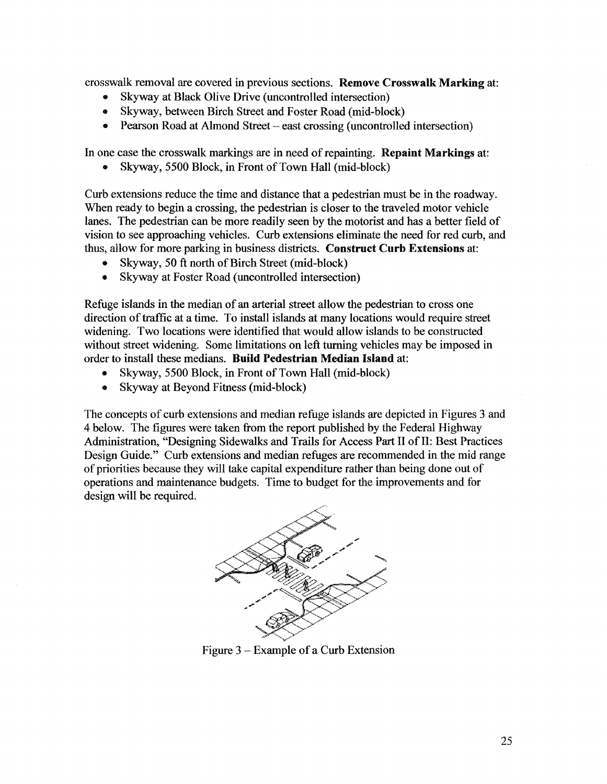crosswalk removal are covered in previous sections. Remove Crosswalk Marking at:

- Skyway at Black Olive Drive (uncontrolled intersection)
- Skyway, between Birch Street and Foster Road (mid-block)
- Pearson Road at Almond Street east crossing (uncontrolled intersection)

In one case the crosswalk markings are in need of repainting. Repaint Markings at:

Skyway, 5500 Block, in Front of Town Hall (mid-block)

Curb extensions reduce the time and distance that a pedestrian must be in the roadway. When ready to begin a crossing, the pedestrian is closer to the traveled motor vehicle lanes. The pedestrian can be more readily seen by the motorist and has a better field of vision to see approaching vehicles. Curb extensions eliminate the need for red curb, and thus, allow for more parking in business districts. Construct Curb Extensions at:

- Skyway, 50 ft north of Birch Street (mid-block)
- Skyway at Foster Road (uncontrolled intersection)

Refuge islands in the median of an arterial street allow the pedestrian to cross one direction of traffic at a time. To install islands at many locations would require street widening. Two locations were identified that would allow islands to be constructed without street widening. Some limitations on left turning vehicles may be imposed in order to install these medians. Build Pedestrian Median Island at:

- Skyway, 5500 Block, in Front of Town Hall (mid-block)
- Skyway at Beyond Fitness (mid-block)

The concepts of curb extensions and median refuge islands are depicted in Figures 3 and 4 below. The figures were taken from the report published by the Federal Highway Administration, "Designing Sidewalks and Trails for Access Part II of II: Best Practices Design Guide." Curb extensions and median refuges are recommended in the mid range of priorities because they will take capital expenditure rather than being done out of operations and maintenance budgets. Time to budget for the improvements and for design will be required.



Figure  $3 -$  Example of a Curb Extension